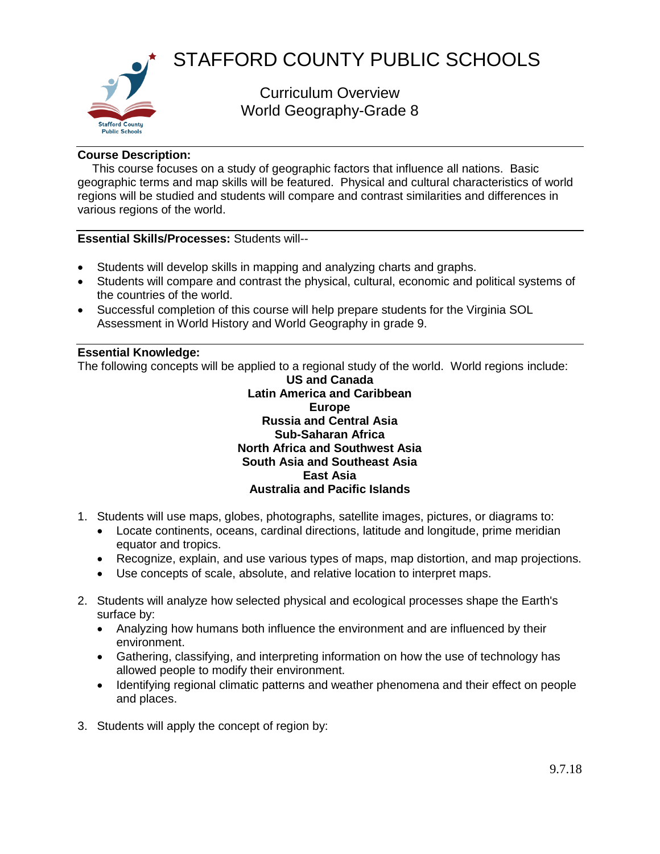

# STAFFORD COUNTY PUBLIC SCHOOLS

Curriculum Overview World Geography-Grade 8

## **Course Description:**

This course focuses on a study of geographic factors that influence all nations. Basic geographic terms and map skills will be featured. Physical and cultural characteristics of world regions will be studied and students will compare and contrast similarities and differences in various regions of the world.

## **Essential Skills/Processes:** Students will--

- Students will develop skills in mapping and analyzing charts and graphs.
- Students will compare and contrast the physical, cultural, economic and political systems of the countries of the world.
- Successful completion of this course will help prepare students for the Virginia SOL Assessment in World History and World Geography in grade 9.

## **Essential Knowledge:**

The following concepts will be applied to a regional study of the world. World regions include:

### **US and Canada Latin America and Caribbean Europe Russia and Central Asia Sub-Saharan Africa North Africa and Southwest Asia South Asia and Southeast Asia East Asia Australia and Pacific Islands**

- 1. Students will use maps, globes, photographs, satellite images, pictures, or diagrams to:
	- Locate continents, oceans, cardinal directions, latitude and longitude, prime meridian equator and tropics.
	- Recognize, explain, and use various types of maps, map distortion, and map projections.
	- Use concepts of scale, absolute, and relative location to interpret maps.
- 2. Students will analyze how selected physical and ecological processes shape the Earth's surface by:
	- Analyzing how humans both influence the environment and are influenced by their environment.
	- Gathering, classifying, and interpreting information on how the use of technology has allowed people to modify their environment.
	- Identifying regional climatic patterns and weather phenomena and their effect on people and places.
- 3. Students will apply the concept of region by: